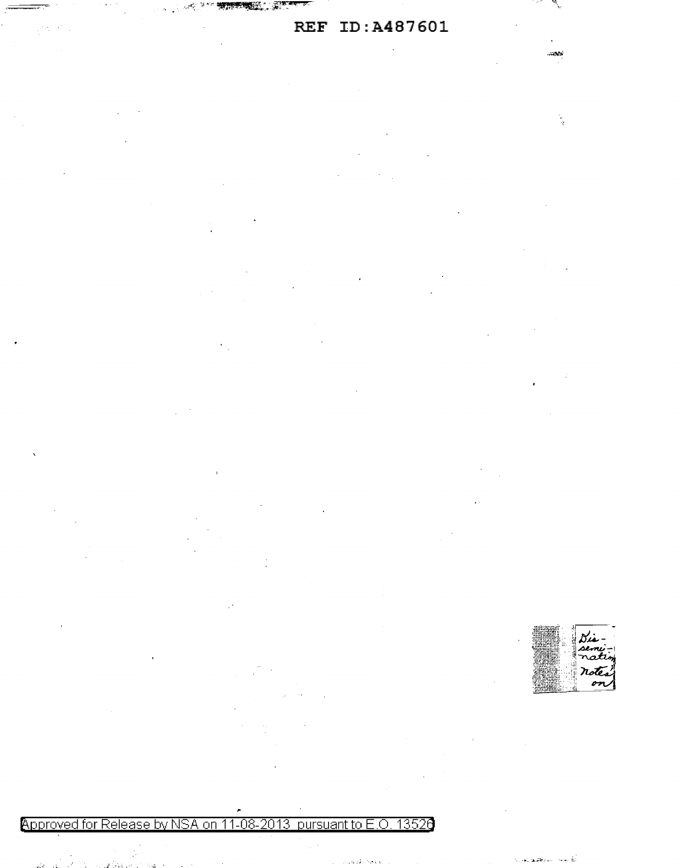# **REF ID:A487601**

Ñ.

 $-200$ 

**《大学》中的思想的人,我们** 

 $\epsilon_{\rm in}$ 

 $\sim 10^{-11}$ 

Approved for Release by NSA on 11-08-2013 pursuant to E.O. 13526

a internación de Capación de<br>Capación

 $\theta_{\rm eff} \geq 0.5$ 

 $\sim 10^{-11}$ 

**STAGEWOOD FOR E** 

واوجاد فتكوير

rotes on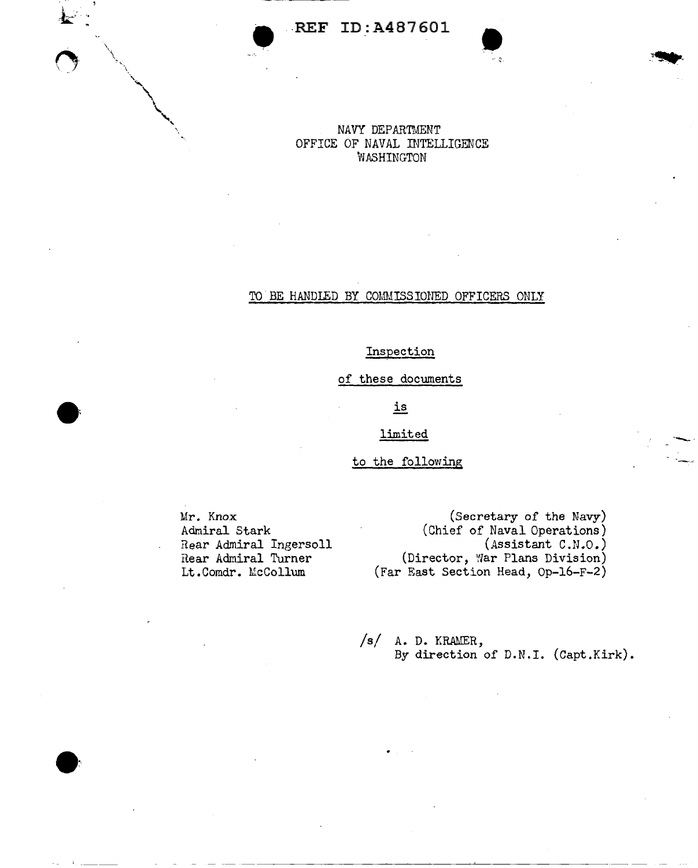$\bullet$  REF ID:A487601  $\bullet$ 



# TO BE HANDLED BY COMMISSIONED OFFICERS ONLY

# Inspection

of these documents

# is

# limited

# to the following

Mr. Knox Admiral Stark Rear Admiral Ingersoll Rear Admiral Turner Lt.Comdr. McCollum

(Secretary of the Navy) (Chief of Naval Operations) (Assistant C.N.O.) (Director, War Plans Division) (Far East Section Head, Op-16-F-2) ·-....,\_.

*/sf* A. D. KRAMER, By direction of D.N.I. (Capt.Kirk).

--------------~---------- - --